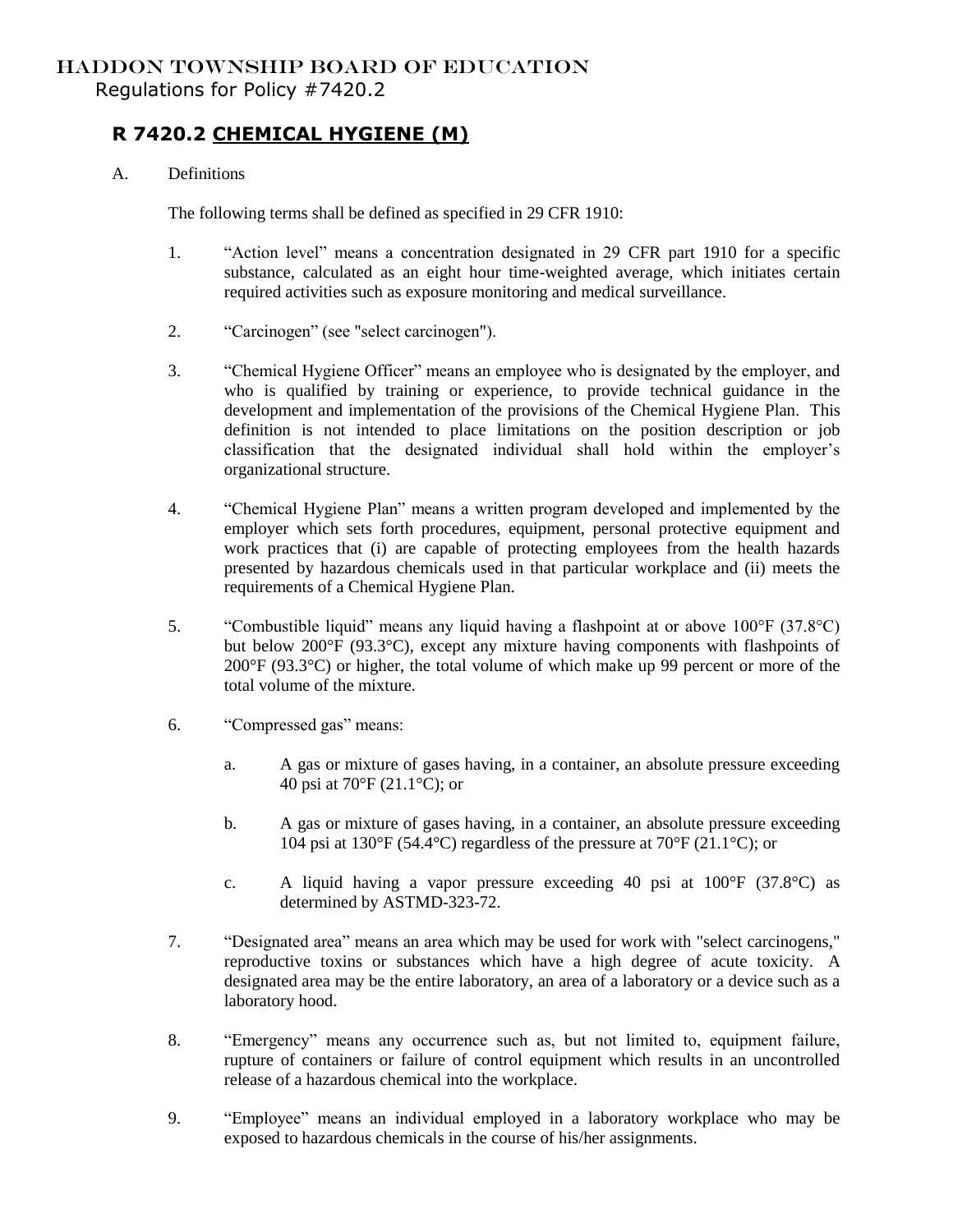## HADDON TOWNSHIP BOARD OF EDUCATION Regulations for Policy #7420.2

# **R 7420.2 CHEMICAL HYGIENE (M)**

## A. Definitions

The following terms shall be defined as specified in 29 CFR 1910:

- 1. "Action level" means a concentration designated in 29 CFR part 1910 for a specific substance, calculated as an eight hour time-weighted average, which initiates certain required activities such as exposure monitoring and medical surveillance.
- 2. "Carcinogen" (see "select carcinogen").
- 3. "Chemical Hygiene Officer" means an employee who is designated by the employer, and who is qualified by training or experience, to provide technical guidance in the development and implementation of the provisions of the Chemical Hygiene Plan. This definition is not intended to place limitations on the position description or job classification that the designated individual shall hold within the employer's organizational structure.
- 4. "Chemical Hygiene Plan" means a written program developed and implemented by the employer which sets forth procedures, equipment, personal protective equipment and work practices that (i) are capable of protecting employees from the health hazards presented by hazardous chemicals used in that particular workplace and (ii) meets the requirements of a Chemical Hygiene Plan.
- 5. "Combustible liquid" means any liquid having a flashpoint at or above 100°F (37.8°C) but below 200°F (93.3°C), except any mixture having components with flashpoints of 200°F (93.3°C) or higher, the total volume of which make up 99 percent or more of the total volume of the mixture.
- 6. "Compressed gas" means:
	- a. A gas or mixture of gases having, in a container, an absolute pressure exceeding 40 psi at 70°F (21.1°C); or
	- b. A gas or mixture of gases having, in a container, an absolute pressure exceeding 104 psi at 130°F (54.4°C) regardless of the pressure at 70°F (21.1°C); or
	- c. A liquid having a vapor pressure exceeding 40 psi at  $100^{\circ}$ F (37.8°C) as determined by ASTMD-323-72.
- 7. "Designated area" means an area which may be used for work with "select carcinogens," reproductive toxins or substances which have a high degree of acute toxicity. A designated area may be the entire laboratory, an area of a laboratory or a device such as a laboratory hood.
- 8. "Emergency" means any occurrence such as, but not limited to, equipment failure, rupture of containers or failure of control equipment which results in an uncontrolled release of a hazardous chemical into the workplace.
- 9. "Employee" means an individual employed in a laboratory workplace who may be exposed to hazardous chemicals in the course of his/her assignments.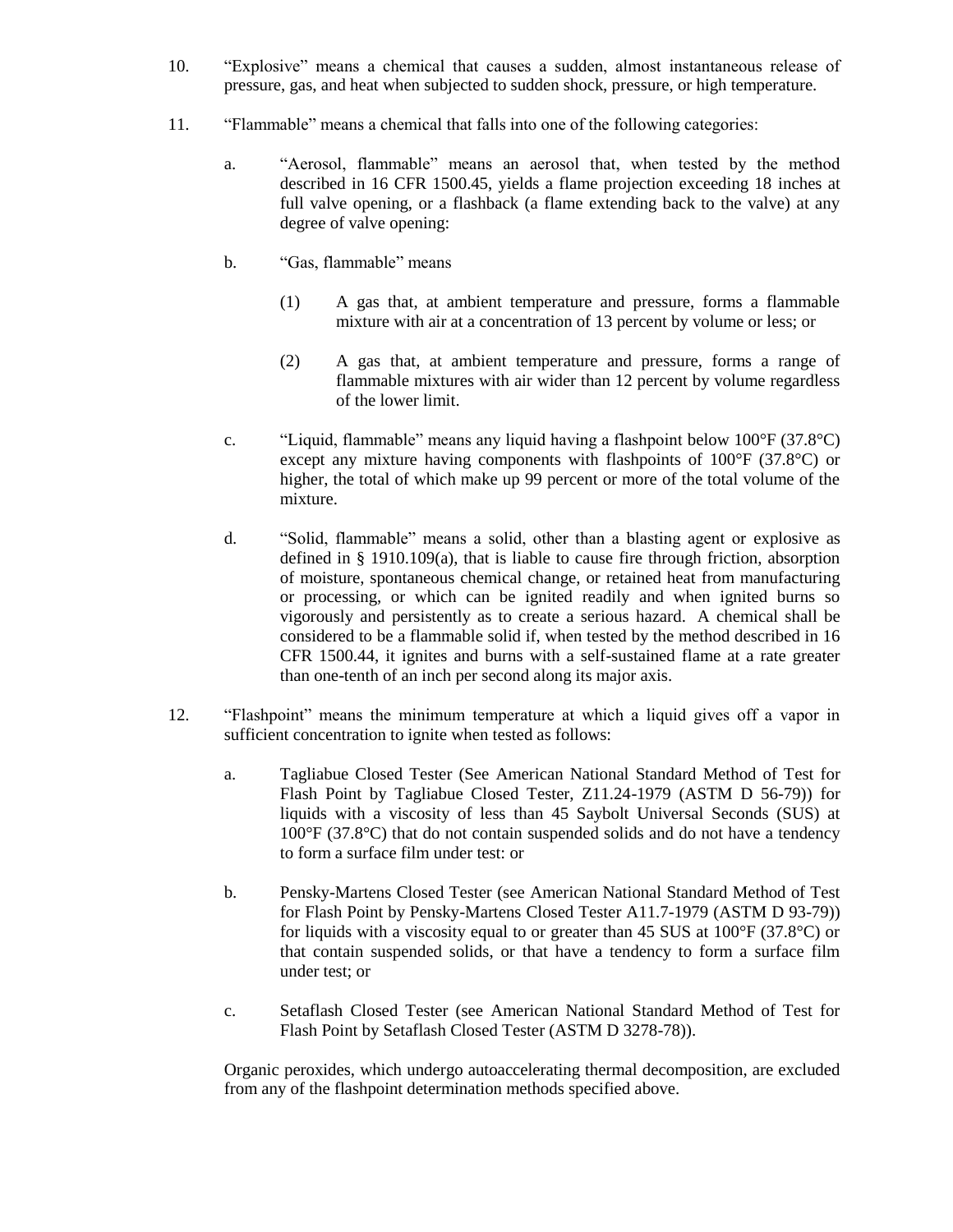- 10. "Explosive" means a chemical that causes a sudden, almost instantaneous release of pressure, gas, and heat when subjected to sudden shock, pressure, or high temperature.
- 11. "Flammable" means a chemical that falls into one of the following categories:
	- a. "Aerosol, flammable" means an aerosol that, when tested by the method described in 16 CFR 1500.45, yields a flame projection exceeding 18 inches at full valve opening, or a flashback (a flame extending back to the valve) at any degree of valve opening:
	- b. "Gas, flammable" means
		- (1) A gas that, at ambient temperature and pressure, forms a flammable mixture with air at a concentration of 13 percent by volume or less; or
		- (2) A gas that, at ambient temperature and pressure, forms a range of flammable mixtures with air wider than 12 percent by volume regardless of the lower limit.
	- c. "Liquid, flammable" means any liquid having a flashpoint below  $100^{\circ}F(37.8^{\circ}C)$ except any mixture having components with flashpoints of 100°F (37.8°C) or higher, the total of which make up 99 percent or more of the total volume of the mixture.
	- d. "Solid, flammable" means a solid, other than a blasting agent or explosive as defined in § 1910.109(a), that is liable to cause fire through friction, absorption of moisture, spontaneous chemical change, or retained heat from manufacturing or processing, or which can be ignited readily and when ignited burns so vigorously and persistently as to create a serious hazard. A chemical shall be considered to be a flammable solid if, when tested by the method described in 16 CFR 1500.44, it ignites and burns with a self-sustained flame at a rate greater than one-tenth of an inch per second along its major axis.
- 12. "Flashpoint" means the minimum temperature at which a liquid gives off a vapor in sufficient concentration to ignite when tested as follows:
	- a. Tagliabue Closed Tester (See American National Standard Method of Test for Flash Point by Tagliabue Closed Tester, Z11.24-1979 (ASTM D 56-79)) for liquids with a viscosity of less than 45 Saybolt Universal Seconds (SUS) at 100°F (37.8°C) that do not contain suspended solids and do not have a tendency to form a surface film under test: or
	- b. Pensky-Martens Closed Tester (see American National Standard Method of Test for Flash Point by Pensky-Martens Closed Tester A11.7-1979 (ASTM D 93-79)) for liquids with a viscosity equal to or greater than 45 SUS at  $100^{\circ}$ F (37.8 $^{\circ}$ C) or that contain suspended solids, or that have a tendency to form a surface film under test; or
	- c. Setaflash Closed Tester (see American National Standard Method of Test for Flash Point by Setaflash Closed Tester (ASTM D 3278-78)).

Organic peroxides, which undergo autoaccelerating thermal decomposition, are excluded from any of the flashpoint determination methods specified above.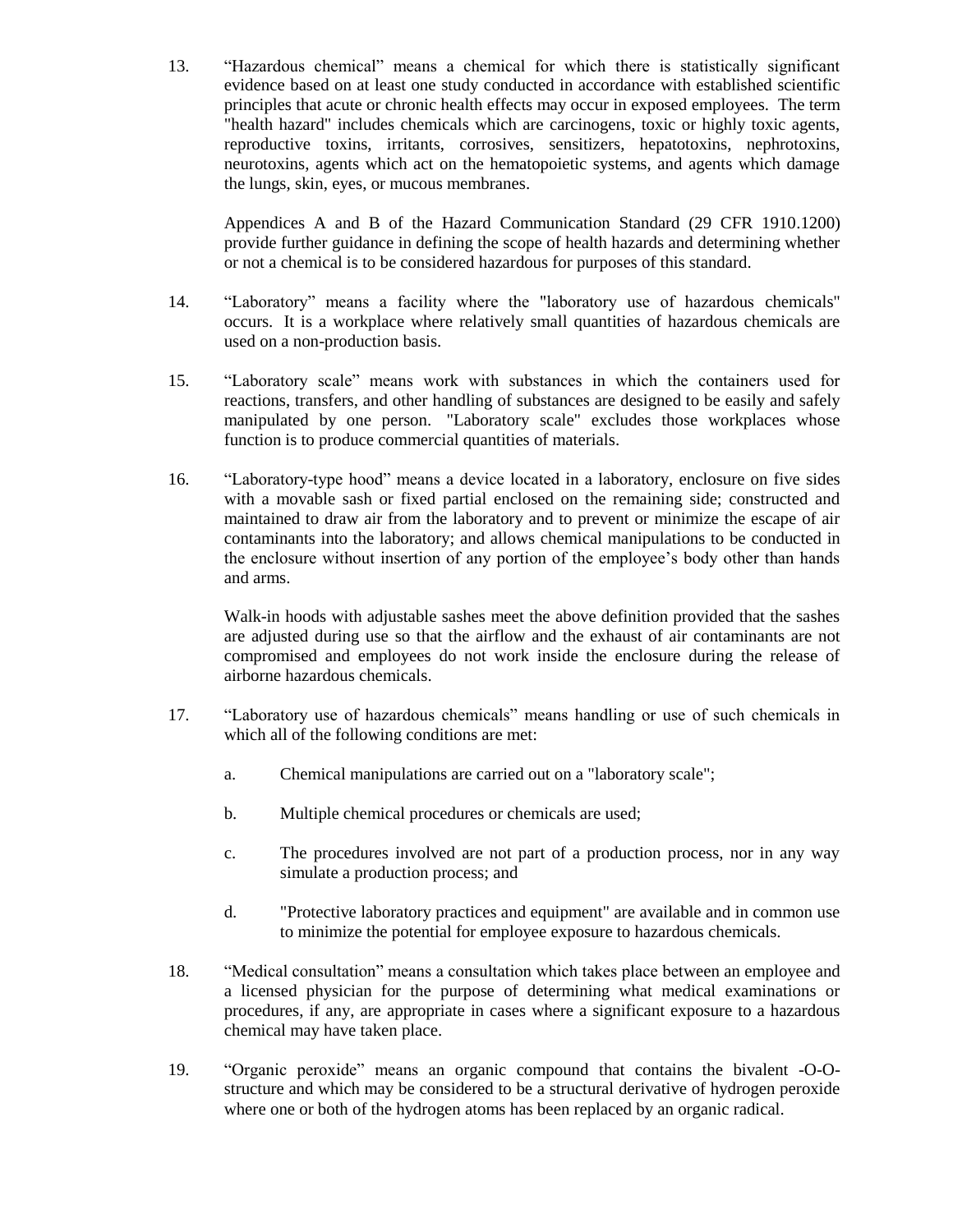13. "Hazardous chemical" means a chemical for which there is statistically significant evidence based on at least one study conducted in accordance with established scientific principles that acute or chronic health effects may occur in exposed employees. The term "health hazard" includes chemicals which are carcinogens, toxic or highly toxic agents, reproductive toxins, irritants, corrosives, sensitizers, hepatotoxins, nephrotoxins, neurotoxins, agents which act on the hematopoietic systems, and agents which damage the lungs, skin, eyes, or mucous membranes.

Appendices A and B of the Hazard Communication Standard (29 CFR 1910.1200) provide further guidance in defining the scope of health hazards and determining whether or not a chemical is to be considered hazardous for purposes of this standard.

- 14. "Laboratory" means a facility where the "laboratory use of hazardous chemicals" occurs. It is a workplace where relatively small quantities of hazardous chemicals are used on a non-production basis.
- 15. "Laboratory scale" means work with substances in which the containers used for reactions, transfers, and other handling of substances are designed to be easily and safely manipulated by one person. "Laboratory scale" excludes those workplaces whose function is to produce commercial quantities of materials.
- 16. "Laboratory-type hood" means a device located in a laboratory, enclosure on five sides with a movable sash or fixed partial enclosed on the remaining side; constructed and maintained to draw air from the laboratory and to prevent or minimize the escape of air contaminants into the laboratory; and allows chemical manipulations to be conducted in the enclosure without insertion of any portion of the employee's body other than hands and arms.

Walk-in hoods with adjustable sashes meet the above definition provided that the sashes are adjusted during use so that the airflow and the exhaust of air contaminants are not compromised and employees do not work inside the enclosure during the release of airborne hazardous chemicals.

- 17. "Laboratory use of hazardous chemicals" means handling or use of such chemicals in which all of the following conditions are met:
	- a. Chemical manipulations are carried out on a "laboratory scale";
	- b. Multiple chemical procedures or chemicals are used;
	- c. The procedures involved are not part of a production process, nor in any way simulate a production process; and
	- d. "Protective laboratory practices and equipment" are available and in common use to minimize the potential for employee exposure to hazardous chemicals.
- 18. "Medical consultation" means a consultation which takes place between an employee and a licensed physician for the purpose of determining what medical examinations or procedures, if any, are appropriate in cases where a significant exposure to a hazardous chemical may have taken place.
- 19. "Organic peroxide" means an organic compound that contains the bivalent -O-Ostructure and which may be considered to be a structural derivative of hydrogen peroxide where one or both of the hydrogen atoms has been replaced by an organic radical.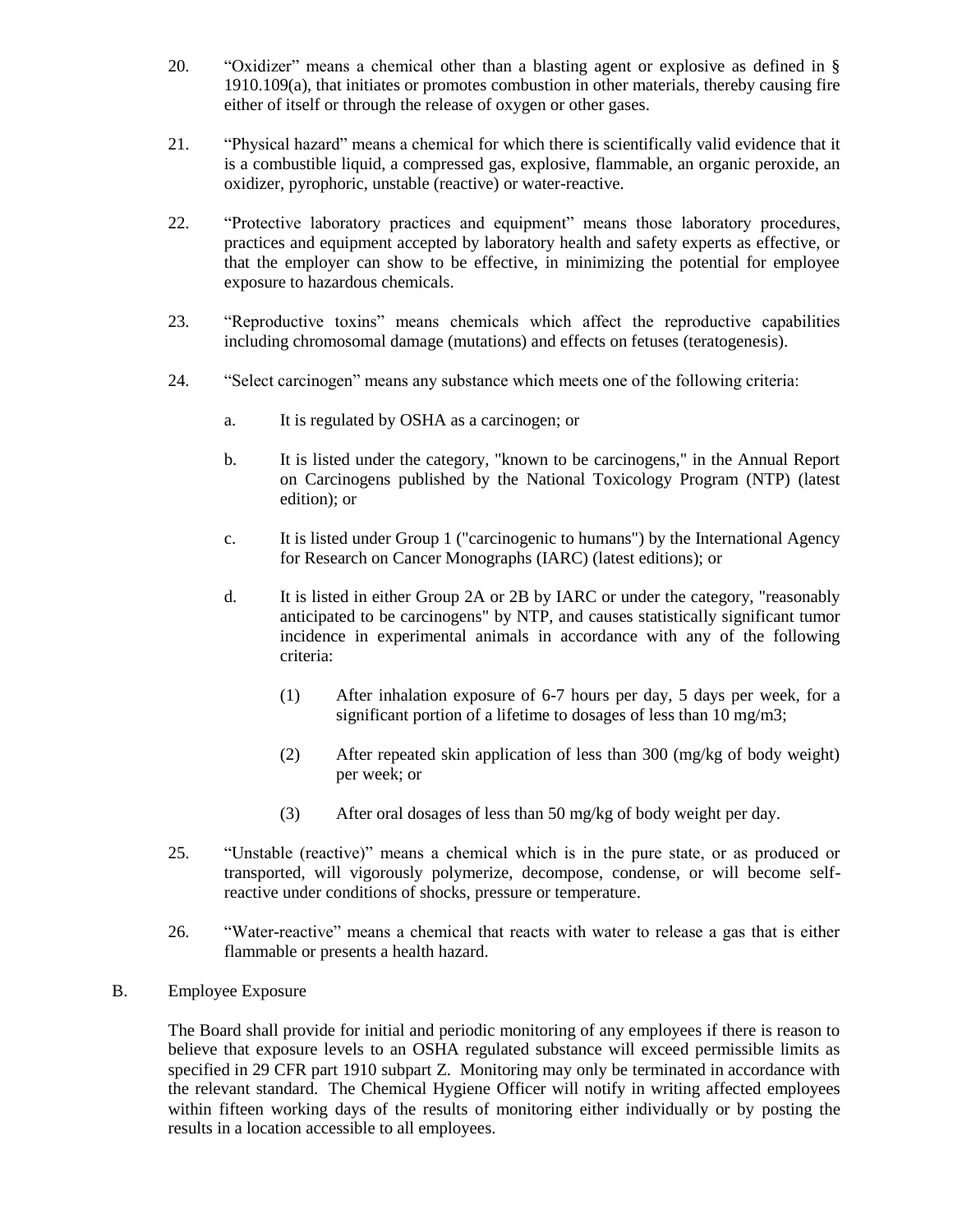- 20. "Oxidizer" means a chemical other than a blasting agent or explosive as defined in § 1910.109(a), that initiates or promotes combustion in other materials, thereby causing fire either of itself or through the release of oxygen or other gases.
- 21. "Physical hazard" means a chemical for which there is scientifically valid evidence that it is a combustible liquid, a compressed gas, explosive, flammable, an organic peroxide, an oxidizer, pyrophoric, unstable (reactive) or water-reactive.
- 22. "Protective laboratory practices and equipment" means those laboratory procedures, practices and equipment accepted by laboratory health and safety experts as effective, or that the employer can show to be effective, in minimizing the potential for employee exposure to hazardous chemicals.
- 23. "Reproductive toxins" means chemicals which affect the reproductive capabilities including chromosomal damage (mutations) and effects on fetuses (teratogenesis).
- 24. "Select carcinogen" means any substance which meets one of the following criteria:
	- a. It is regulated by OSHA as a carcinogen; or
	- b. It is listed under the category, "known to be carcinogens," in the Annual Report on Carcinogens published by the National Toxicology Program (NTP) (latest edition); or
	- c. It is listed under Group 1 ("carcinogenic to humans") by the International Agency for Research on Cancer Monographs (IARC) (latest editions); or
	- d. It is listed in either Group 2A or 2B by IARC or under the category, "reasonably anticipated to be carcinogens" by NTP, and causes statistically significant tumor incidence in experimental animals in accordance with any of the following criteria:
		- (1) After inhalation exposure of 6-7 hours per day, 5 days per week, for a significant portion of a lifetime to dosages of less than 10 mg/m3;
		- (2) After repeated skin application of less than 300 (mg/kg of body weight) per week; or
		- (3) After oral dosages of less than 50 mg/kg of body weight per day.
- 25. "Unstable (reactive)" means a chemical which is in the pure state, or as produced or transported, will vigorously polymerize, decompose, condense, or will become selfreactive under conditions of shocks, pressure or temperature.
- 26. "Water-reactive" means a chemical that reacts with water to release a gas that is either flammable or presents a health hazard.
- B. Employee Exposure

The Board shall provide for initial and periodic monitoring of any employees if there is reason to believe that exposure levels to an OSHA regulated substance will exceed permissible limits as specified in 29 CFR part 1910 subpart Z. Monitoring may only be terminated in accordance with the relevant standard. The Chemical Hygiene Officer will notify in writing affected employees within fifteen working days of the results of monitoring either individually or by posting the results in a location accessible to all employees.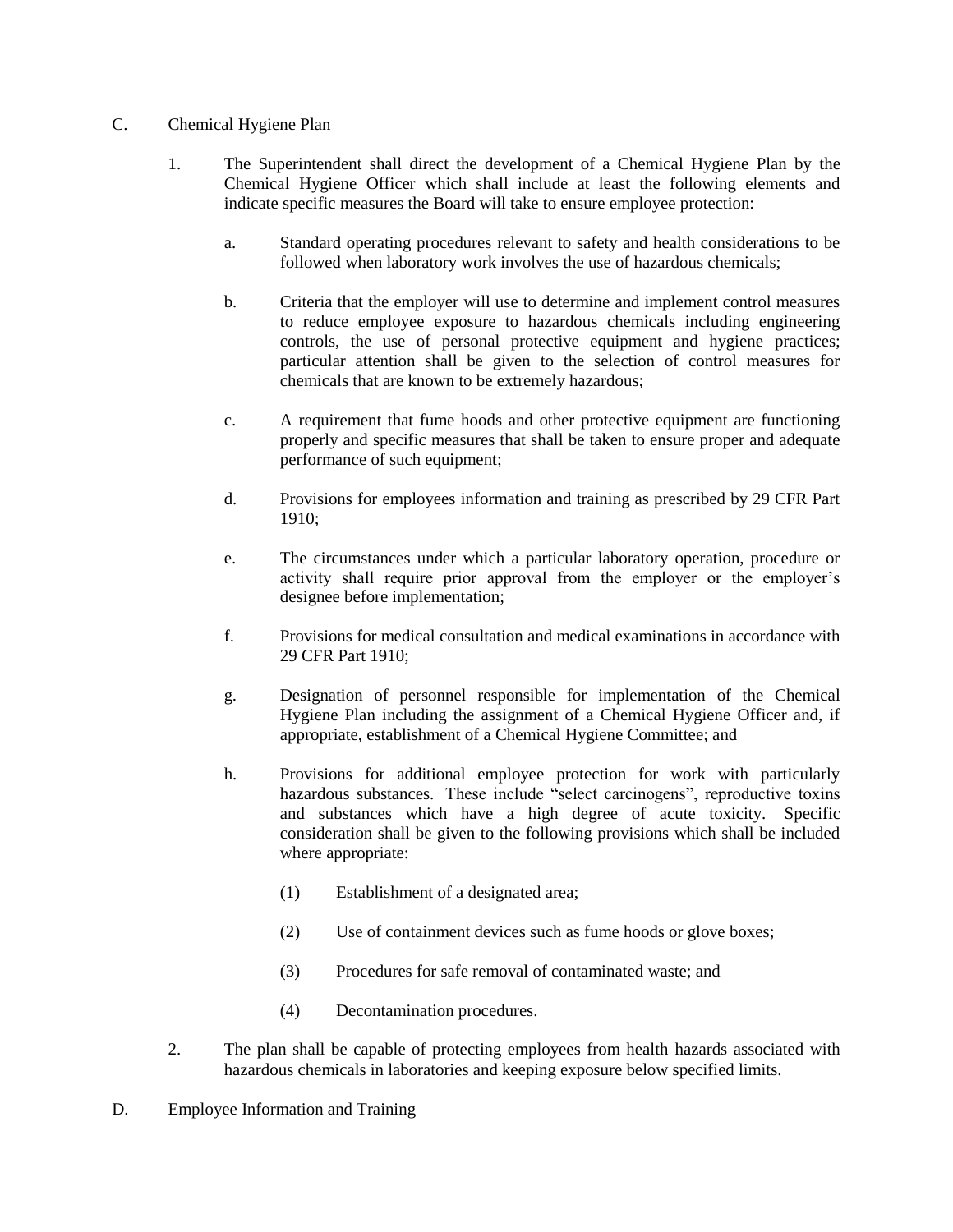## C. Chemical Hygiene Plan

- 1. The Superintendent shall direct the development of a Chemical Hygiene Plan by the Chemical Hygiene Officer which shall include at least the following elements and indicate specific measures the Board will take to ensure employee protection:
	- a. Standard operating procedures relevant to safety and health considerations to be followed when laboratory work involves the use of hazardous chemicals;
	- b. Criteria that the employer will use to determine and implement control measures to reduce employee exposure to hazardous chemicals including engineering controls, the use of personal protective equipment and hygiene practices; particular attention shall be given to the selection of control measures for chemicals that are known to be extremely hazardous;
	- c. A requirement that fume hoods and other protective equipment are functioning properly and specific measures that shall be taken to ensure proper and adequate performance of such equipment;
	- d. Provisions for employees information and training as prescribed by 29 CFR Part 1910;
	- e. The circumstances under which a particular laboratory operation, procedure or activity shall require prior approval from the employer or the employer's designee before implementation;
	- f. Provisions for medical consultation and medical examinations in accordance with 29 CFR Part 1910;
	- g. Designation of personnel responsible for implementation of the Chemical Hygiene Plan including the assignment of a Chemical Hygiene Officer and, if appropriate, establishment of a Chemical Hygiene Committee; and
	- h. Provisions for additional employee protection for work with particularly hazardous substances. These include "select carcinogens", reproductive toxins and substances which have a high degree of acute toxicity. Specific consideration shall be given to the following provisions which shall be included where appropriate:
		- (1) Establishment of a designated area;
		- (2) Use of containment devices such as fume hoods or glove boxes;
		- (3) Procedures for safe removal of contaminated waste; and
		- (4) Decontamination procedures.
- 2. The plan shall be capable of protecting employees from health hazards associated with hazardous chemicals in laboratories and keeping exposure below specified limits.
- D. Employee Information and Training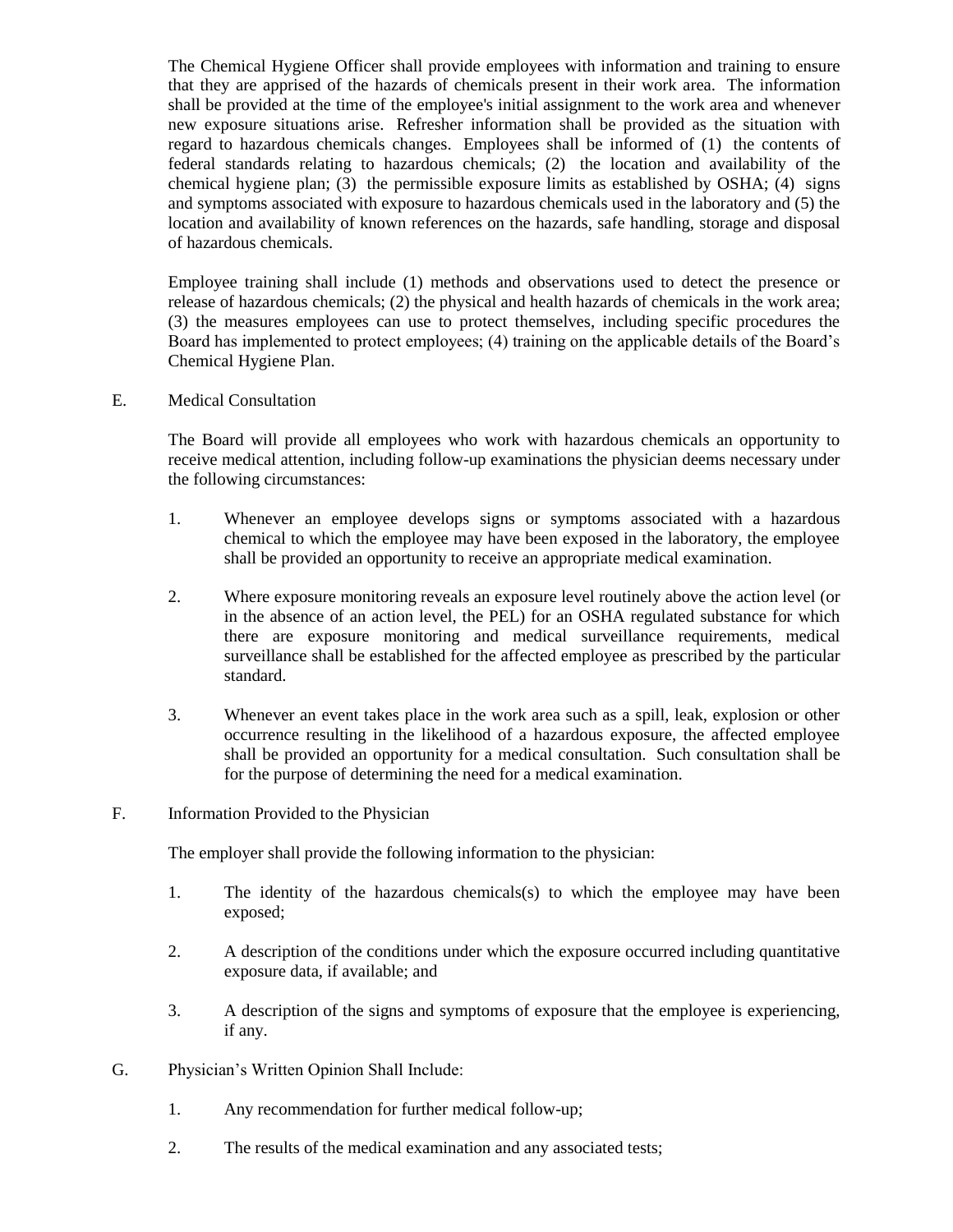The Chemical Hygiene Officer shall provide employees with information and training to ensure that they are apprised of the hazards of chemicals present in their work area. The information shall be provided at the time of the employee's initial assignment to the work area and whenever new exposure situations arise. Refresher information shall be provided as the situation with regard to hazardous chemicals changes. Employees shall be informed of (1) the contents of federal standards relating to hazardous chemicals; (2) the location and availability of the chemical hygiene plan; (3) the permissible exposure limits as established by OSHA; (4) signs and symptoms associated with exposure to hazardous chemicals used in the laboratory and (5) the location and availability of known references on the hazards, safe handling, storage and disposal of hazardous chemicals.

Employee training shall include (1) methods and observations used to detect the presence or release of hazardous chemicals; (2) the physical and health hazards of chemicals in the work area; (3) the measures employees can use to protect themselves, including specific procedures the Board has implemented to protect employees; (4) training on the applicable details of the Board's Chemical Hygiene Plan.

E. Medical Consultation

The Board will provide all employees who work with hazardous chemicals an opportunity to receive medical attention, including follow-up examinations the physician deems necessary under the following circumstances:

- 1. Whenever an employee develops signs or symptoms associated with a hazardous chemical to which the employee may have been exposed in the laboratory, the employee shall be provided an opportunity to receive an appropriate medical examination.
- 2. Where exposure monitoring reveals an exposure level routinely above the action level (or in the absence of an action level, the PEL) for an OSHA regulated substance for which there are exposure monitoring and medical surveillance requirements, medical surveillance shall be established for the affected employee as prescribed by the particular standard.
- 3. Whenever an event takes place in the work area such as a spill, leak, explosion or other occurrence resulting in the likelihood of a hazardous exposure, the affected employee shall be provided an opportunity for a medical consultation. Such consultation shall be for the purpose of determining the need for a medical examination.
- F. Information Provided to the Physician

The employer shall provide the following information to the physician:

- 1. The identity of the hazardous chemicals(s) to which the employee may have been exposed;
- 2. A description of the conditions under which the exposure occurred including quantitative exposure data, if available; and
- 3. A description of the signs and symptoms of exposure that the employee is experiencing, if any.
- G. Physician's Written Opinion Shall Include:
	- 1. Any recommendation for further medical follow-up;
	- 2. The results of the medical examination and any associated tests;